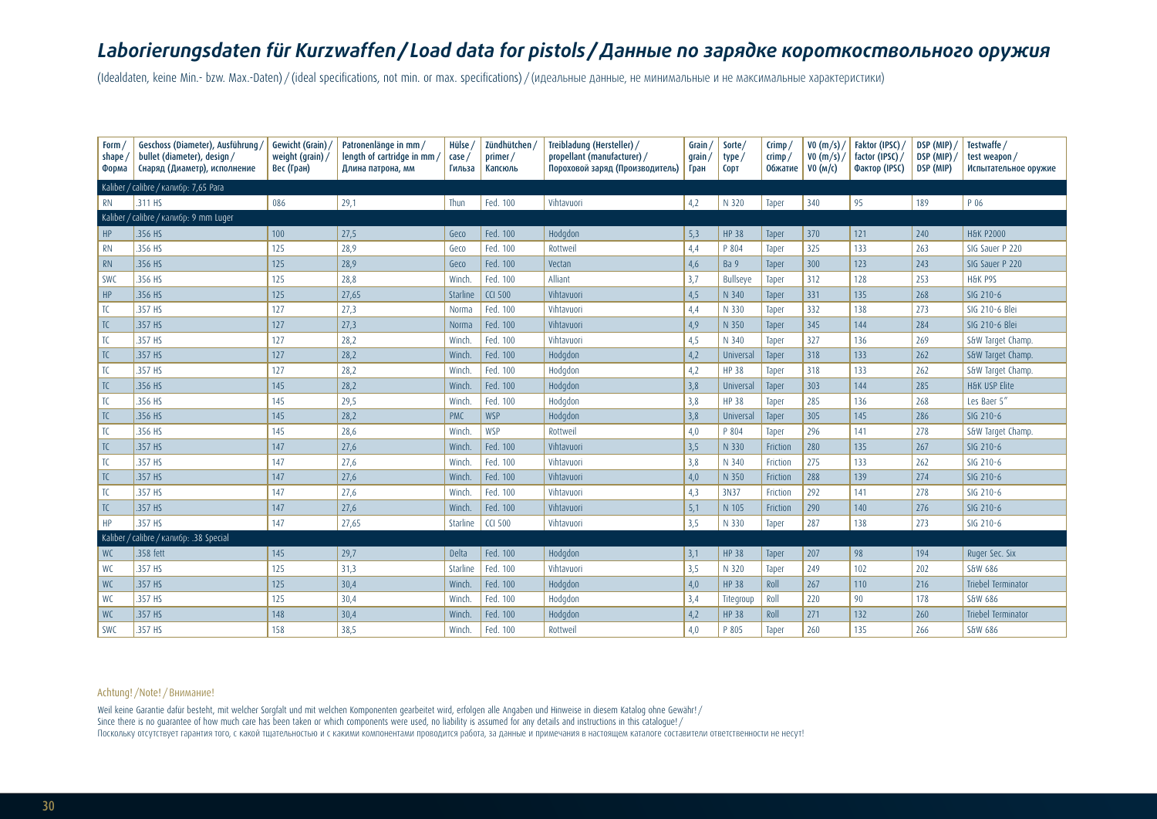# *Laborierungsdaten für Kurzwaffen/ Load data for pistols /Данные по зарядке короткоствольного оружия*

(Idealdaten, keine Min.- bzw. Max.-Daten) / (ideal specifications, not min. or max. specifications) / (идеальные данные, не минимальные и не максимальные характеристики)

| Form $\overline{a}$<br>shape<br>Форма | Geschoss (Diameter), Ausführung<br>bullet (diameter), design /<br>Снаряд (Диаметр), исполнение | Gewicht (Grain)<br>weight (grain)/<br>Вес (Гран) | Patronenlänge in mm /<br>length of cartridge in mm<br>Длина патрона, мм | Hülse<br>case,<br>Гильза | Zündhütchen /<br>primer/<br>Капсюль | Treibladung (Hersteller) /<br>propellant (manufacturer) /<br>Пороховой заряд (Производитель) | Grain $/$<br>Sorte/<br>$q$ rain<br>type,<br>Гран<br><b>CODT</b> |                 | $C$ rimp<br>crimp/<br><b>Обжатие</b> | V0(m/s) /<br>V0(m/s) /<br>VO (M/C) | Faktor (IPSC)<br>factor (IPSC) /<br>Фактор (IPSC) | DSP (MIP)<br>DSP (MIP)<br>DSP (MIP) | Testwaffe /<br>test weapon/<br>Испытательное оружие |
|---------------------------------------|------------------------------------------------------------------------------------------------|--------------------------------------------------|-------------------------------------------------------------------------|--------------------------|-------------------------------------|----------------------------------------------------------------------------------------------|-----------------------------------------------------------------|-----------------|--------------------------------------|------------------------------------|---------------------------------------------------|-------------------------------------|-----------------------------------------------------|
|                                       | Kaliber / calibre / калибр: 7,65 Para                                                          |                                                  |                                                                         |                          |                                     |                                                                                              |                                                                 |                 |                                      |                                    |                                                   |                                     |                                                     |
| <b>RN</b>                             | .311 HS                                                                                        | 086                                              | 29,1                                                                    | Thun                     | Fed. 100                            | Vihtavuori<br>4,2                                                                            |                                                                 | N 320           | Taper                                | 340                                | 95                                                | 189                                 | P 06                                                |
| Kaliber                               | calibre / калибр: 9 mm Luger                                                                   |                                                  |                                                                         |                          |                                     |                                                                                              |                                                                 |                 |                                      |                                    |                                                   |                                     |                                                     |
| HP                                    | .356 HS                                                                                        | 100                                              | 27,5                                                                    | Geco                     | Fed. 100                            | Hodgdon                                                                                      | 5,3                                                             | <b>HP 38</b>    | Taper                                | 370                                | 121                                               | 240                                 | <b>H&amp;K P2000</b>                                |
| <b>RN</b>                             | .356 HS                                                                                        | 125                                              | 28,9                                                                    | Geco                     | Fed. 100                            | Rottweil                                                                                     | 4,4                                                             | P 804           | Taper                                | 325                                | 133                                               | 263                                 | SIG Sauer P 220                                     |
| <b>RN</b>                             | .356 HS                                                                                        | 125                                              | 28,9                                                                    | Geco                     | Fed. 100                            | Vectan                                                                                       | 4,6                                                             | Ba 9            | Taper                                | 300                                | 123                                               | 243                                 | SIG Sauer P 220                                     |
| <b>SWC</b>                            | .356 HS                                                                                        | 125                                              | 28,8                                                                    | Winch.                   | Fed. 100                            | Alliant                                                                                      | 3,7                                                             | <b>Bullseye</b> | Taper                                | 312                                | 128                                               | 253                                 | H&K P9S                                             |
| HP                                    | .356 HS                                                                                        | 125                                              | 27,65                                                                   | Starline                 | <b>CCI 500</b>                      | Vihtavuori                                                                                   | 4,5                                                             | N 340           | Taper                                | 331                                | 135                                               | 268                                 | SIG 210-6                                           |
| TC                                    | .357 HS                                                                                        | 127                                              | 27,3                                                                    | Norma                    | Fed. 100                            | Vihtavuori                                                                                   | 4,4                                                             | N 330           | Taper                                | 332                                | 138                                               | 273                                 | SIG 210-6 Blei                                      |
| TC                                    | .357 HS                                                                                        | 127                                              | 27,3                                                                    | Norma                    | Fed. 100                            | Vihtavuori                                                                                   | 4,9                                                             | N 350           | Taper                                | 345                                | 144                                               | 284                                 | SIG 210-6 Blei                                      |
| TC                                    | .357 HS                                                                                        | 127                                              | 28,2                                                                    | Winch.                   | Fed. 100                            | Vihtavuori                                                                                   | 4,5                                                             | N 340           | Taper                                | 327                                | 136                                               | 269                                 | S&W Target Champ.                                   |
| TC                                    | .357 HS                                                                                        | 127                                              | 28,2                                                                    | Winch.                   | Fed. 100                            | Hodgdon                                                                                      | 4,2                                                             | Universal       | Taper                                | 318                                | 133                                               | 262                                 | S&W Target Champ.                                   |
| TC                                    | .357 HS                                                                                        | 127                                              | 28,2                                                                    | Winch.                   | Fed. 100                            | Hodgdon                                                                                      | 4,2                                                             | <b>HP 38</b>    | Taper                                | 318                                | 133                                               | 262                                 | S&W Target Champ.                                   |
| TC                                    | .356 HS                                                                                        | 145                                              | 28,2                                                                    | Winch.                   | Fed. 100                            | Hodgdon                                                                                      | 3,8                                                             | Universal       | Taper                                | 303                                | 144                                               | 285                                 | <b>H&amp;K USP Elite</b>                            |
| TC                                    | .356 HS                                                                                        | 145                                              | 29,5                                                                    | Winch.                   | Fed. 100                            | Hodgdon                                                                                      | 3,8                                                             | <b>HP 38</b>    | Taper                                | 285                                | 136                                               | 268                                 | Les Baer 5"                                         |
| TC                                    | .356 HS                                                                                        | 145                                              | 28,2                                                                    | <b>PMC</b>               | <b>WSP</b>                          | Hodgdon                                                                                      | 3,8                                                             | Universal       | Taper                                | 305                                | 145                                               | 286                                 | SIG 210-6                                           |
| TC                                    | .356 HS                                                                                        | 145                                              | 28,6                                                                    | Winch.                   | <b>WSP</b>                          | Rottweil                                                                                     | 4,0                                                             | P 804           | Taper                                | 296                                | 141                                               | 278                                 | S&W Target Champ.                                   |
| TC                                    | .357 HS                                                                                        | 147                                              | 27,6                                                                    | Winch.                   | Fed. 100                            | Vihtavuori                                                                                   | 3,5                                                             | N 330           | Friction                             | 280                                | 135                                               | 267                                 | SIG 210-6                                           |
| TC                                    | .357 HS                                                                                        | 147                                              | 27,6                                                                    | Winch.                   | Fed. 100                            | Vihtavuori                                                                                   | 3,8                                                             | N 340           | Friction                             | 275                                | 133                                               | 262                                 | SIG 210-6                                           |
| TC                                    | .357 HS                                                                                        | 147                                              | 27,6                                                                    | Winch.                   | Fed. 100                            | Vihtavuori                                                                                   | 4,0                                                             | N 350           | Friction                             | 288                                | 139                                               | 274                                 | SIG 210-6                                           |
| TC                                    | .357 HS                                                                                        | 147                                              | 27,6                                                                    | Winch.                   | Fed. 100                            | Vihtavuori                                                                                   | 4,3                                                             | 3N37            | Friction                             | 292                                | 141                                               | 278                                 | SIG 210-6                                           |
| TC                                    | 357 HS                                                                                         | 147                                              | 27,6                                                                    | Winch.                   | Fed. 100                            | Vihtavuori                                                                                   | 5,1                                                             | N 105           | Friction                             | 290                                | 140                                               | 276                                 | SIG 210-6                                           |
| HP                                    | .357 HS                                                                                        | 147                                              | 27,65                                                                   | Starline                 | <b>CCI 500</b>                      | Vihtavuori                                                                                   | 3,5                                                             | N 330           | Taper                                | 287                                | 138                                               | 273                                 | SIG 210-6                                           |
| Kaliber,                              | calibre / калибр: .38 Special                                                                  |                                                  |                                                                         |                          |                                     |                                                                                              |                                                                 |                 |                                      |                                    |                                                   |                                     |                                                     |
| <b>WC</b>                             | .358 fett                                                                                      | 145                                              | 29,7                                                                    | Delta                    | Fed. 100                            | Hodgdon                                                                                      | 3,1                                                             | <b>HP 38</b>    | Taper                                | 207                                | 98                                                | 194                                 | Ruger Sec. Six                                      |
| WC                                    | .357 HS                                                                                        | 125                                              | 31,3                                                                    | <b>Starline</b>          | Fed. 100                            | Vihtavuori                                                                                   | 3,5                                                             | N 320           | Taper                                | 249                                | 102                                               | 202                                 | S&W 686                                             |
| <b>WC</b>                             | .357 HS                                                                                        | 125                                              | 30,4                                                                    | Winch.                   | Fed. 100                            | Hodgdon                                                                                      | 4,0                                                             | <b>HP 38</b>    | Roll                                 | 267                                | 110                                               | 216                                 | Triebel Terminator                                  |
| WC                                    | .357 HS                                                                                        | 125                                              | 30,4                                                                    | Winch.                   | Fed. 100                            | Hodgdon                                                                                      | 3,4                                                             | Titegroup       | Roll                                 | 220                                | 90                                                | 178                                 | S&W 686                                             |
| <b>WC</b>                             | .357 HS                                                                                        | 148                                              | 30,4                                                                    | Winch                    | Fed. 100                            | Hodgdon                                                                                      | 4,2                                                             | <b>HP 38</b>    | Roll                                 | 271                                | 132                                               | 260                                 | <b>Triebel Terminator</b>                           |
| <b>SWC</b>                            | .357 HS                                                                                        | 158                                              | 38,5                                                                    | Winch.                   | Fed. 100                            | Rottweil                                                                                     | 4,0                                                             | P 805           | Taper                                | 260                                | 135                                               | 266                                 | S&W 686                                             |

#### Achtung! /Note! /Внимание!

Weil keine Garantie dafür besteht, mit welcher Sorgfalt und mit welchen Komponenten gearbeitet wird, erfolgen alle Angaben und Hinweise in diesem Katalog ohne Gewähr! / Since there is no quarantee of how much care has been taken or which components were used, no liability is assumed for any details and instructions in this catalogue!/ Поскольку отсутствует гарантия того, с какой тщательностью и с какими компонентами проводится работа, за данные и примечания в настоящем каталоге составители ответственности не несут!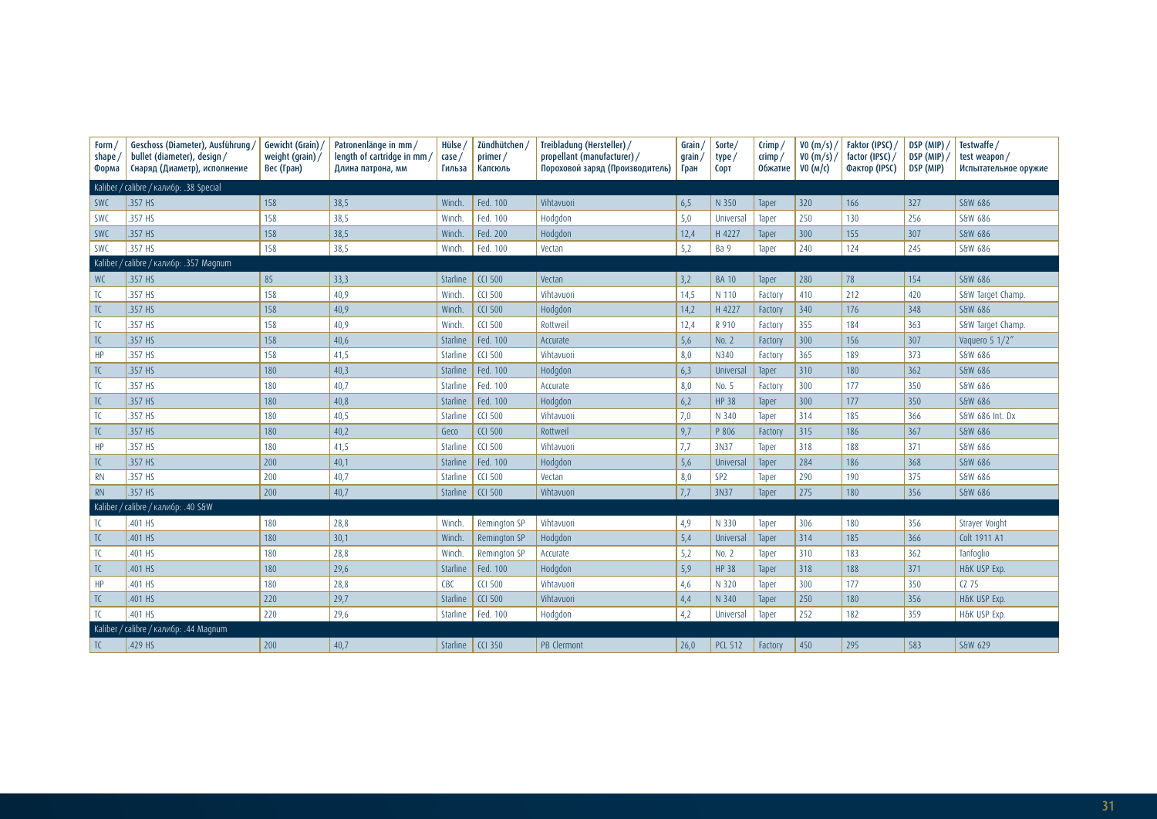| Form,<br>shape,<br>Форма                 | Geschoss (Diameter), Ausführung/<br>bullet (diameter), design/<br>Снаряд (Диаметр), исполнение | Gewicht (Grain)<br>weight (grain)/<br>Вес (Гран) | Patronenlänge in mm /<br>length of cartridge in mm/<br>Длина патрона, мм | Hülse<br>$\cose/$<br>Гильза | Zündhütchen<br>primer/<br>Капсюль | Treibladung (Hersteller) /<br>Grain/<br>propellant (manufacturer) /<br>grain,<br>Пороховой заряд (Производитель)<br>Гран |      | Sorte/<br>type/<br>CODT | $C$ rimp<br>$\mathsf{crimp}/$<br>Обжатие | VO (m/s) /<br>V0(m/s) /<br>VO $(M/c)$ | Faktor (IPSC)<br>factor (IPSC) /<br>Фактор (IPSC) | DSP (MIP)<br>DSP (MIP)<br>DSP (MIP) | Testwaffe /<br>test weapon/<br>Испытательное оружие |
|------------------------------------------|------------------------------------------------------------------------------------------------|--------------------------------------------------|--------------------------------------------------------------------------|-----------------------------|-----------------------------------|--------------------------------------------------------------------------------------------------------------------------|------|-------------------------|------------------------------------------|---------------------------------------|---------------------------------------------------|-------------------------------------|-----------------------------------------------------|
|                                          | Kaliber / calibre / калибр: .38 Special                                                        |                                                  |                                                                          |                             |                                   |                                                                                                                          |      |                         |                                          |                                       |                                                   |                                     |                                                     |
| <b>SWC</b>                               | .357 HS                                                                                        | 158                                              | 38,5                                                                     | Winch.                      | Fed. 100                          | Vihtavuori                                                                                                               | 6,5  | N 350                   | Taper                                    | 320                                   | 166                                               | 327                                 | S&W 686                                             |
| <b>SWC</b>                               | .357 HS                                                                                        | 158                                              | 38,5                                                                     | Winch.                      | Fed. 100                          | Hodgdon                                                                                                                  | 5,0  | Universal               | Taper                                    | 250                                   | 130                                               | 256                                 | S&W 686                                             |
| <b>SWC</b>                               | .357 HS                                                                                        | 158                                              | 38,5                                                                     | Winch.                      | Fed. 200                          | Hodgdon                                                                                                                  | 12,4 | H 4227                  | Taper                                    | 300                                   | 155                                               | 307                                 | S&W 686                                             |
| <b>SWC</b>                               | .357 HS                                                                                        | 158                                              | 38,5                                                                     | Winch.                      | Fed. 100                          | Vectan                                                                                                                   | 5,2  | Ba 9                    | Taper                                    | 240                                   | 124                                               | 245                                 | S&W 686                                             |
| Kaliber<br>calibre / калибр: .357 Magnum |                                                                                                |                                                  |                                                                          |                             |                                   |                                                                                                                          |      |                         |                                          |                                       |                                                   |                                     |                                                     |
| <b>WC</b>                                | .357 HS                                                                                        | 85                                               | 33,3                                                                     | Starline                    | <b>CCI 500</b>                    | Vectan                                                                                                                   | 3,2  | <b>BA 10</b>            | Taper                                    | 280                                   | 78                                                | 154                                 | S&W 686                                             |
| TC                                       | .357 HS                                                                                        | 158                                              | 40,9                                                                     | Winch.                      | <b>CCI 500</b>                    | Vihtavuori                                                                                                               | 14,5 | N 110                   | Factory                                  | 410                                   | 212                                               | 420                                 | S&W Target Champ.                                   |
| TC                                       | .357 HS                                                                                        | 158                                              | 40,9                                                                     | Winch.                      | <b>CCI 500</b>                    | Hodgdon                                                                                                                  | 14,2 | H 4227                  | Factory                                  | 340                                   | 176                                               | 348                                 | S&W 686                                             |
| TC                                       | .357 HS                                                                                        | 158                                              | 40,9                                                                     | Winch.                      | <b>CCI 500</b>                    | Rottweil                                                                                                                 | 12,4 | R 910                   | Factory                                  | 355                                   | 184                                               | 363                                 | S&W Target Champ.                                   |
| TC                                       | .357 HS                                                                                        | 158                                              | 40,6                                                                     | Starline                    | Fed. 100                          | Accurate                                                                                                                 | 5,6  | No. 2                   | Factory                                  | 300                                   | 156                                               | 307                                 | Vaquero 5 1/2"                                      |
| HP                                       | .357 HS                                                                                        | 158                                              | 41,5                                                                     | Starline                    | <b>CCI 500</b>                    | Vihtavuori                                                                                                               | 8,0  | N340                    | Factory                                  | 365                                   | 189                                               | 373                                 | S&W 686                                             |
| TC                                       | .357 HS                                                                                        | 180                                              | 40,3                                                                     | Starline                    | Fed. 100                          | Hodgdon                                                                                                                  | 6,3  | Universal               | Taper                                    | 310                                   | 180                                               | 362                                 | S&W 686                                             |
| TC                                       | .357 HS                                                                                        | 180                                              | 40,7                                                                     | Starline                    | Fed. 100                          | Accurate                                                                                                                 | 8,0  | No. 5                   | Factory                                  | 300                                   | 177                                               | 350                                 | S&W 686                                             |
| TC                                       | .357 HS                                                                                        | 180                                              | 40,8                                                                     | Starline                    | Fed. 100                          | Hodgdon                                                                                                                  | 6,2  | <b>HP 38</b>            | Taper                                    | 300                                   | 177                                               | 350                                 | S&W 686                                             |
| TC                                       | .357 HS                                                                                        | 180                                              | 40,5                                                                     | Starline                    | <b>CCI 500</b>                    | Vihtavuori                                                                                                               | 7,0  | N 340                   | Taper                                    | 314                                   | 185                                               | 366                                 | S&W 686 Int. Dx                                     |
| TC                                       | 357 HS                                                                                         | 180                                              | 40,2                                                                     | Geco                        | <b>CCI 500</b>                    | Rottweil                                                                                                                 | 9,7  | P 806                   | Factory                                  | 315                                   | 186                                               | 367                                 | S&W 686                                             |
| HP                                       | .357 HS                                                                                        | 180                                              | 41,5                                                                     | <b>Starline</b>             | <b>CCI 500</b>                    | Vihtavuori                                                                                                               | 7,7  | 3N37                    | Taper                                    | 318                                   | 188                                               | 371                                 | S&W 686                                             |
| $\overline{C}$                           | .357 HS                                                                                        | 200                                              | 40,1                                                                     | Starline                    | Fed. 100                          | Hodgdon                                                                                                                  | 5,6  | Universal               | Taper                                    | 284                                   | 186                                               | 368                                 | S&W 686                                             |
| <b>RN</b>                                | .357 HS                                                                                        | 200                                              | 40,7                                                                     | Starline                    | <b>CCI 500</b>                    | Vectan                                                                                                                   | 8,0  | SP <sub>2</sub>         | Taper                                    | 290                                   | 190                                               | 375                                 | S&W 686                                             |
| <b>RN</b>                                | .357 HS                                                                                        | 200                                              | 40,7                                                                     | Starline                    | <b>CCI 500</b>                    | Vihtavuori                                                                                                               | 7,7  | 3N37                    | Taper                                    | 275                                   | 180                                               | 356                                 | S&W 686                                             |
| Kaliber                                  | calibre / калибр: .40 S&W                                                                      |                                                  |                                                                          |                             |                                   |                                                                                                                          |      |                         |                                          |                                       |                                                   |                                     |                                                     |
| TC                                       | .401 HS                                                                                        | 180                                              | 28,8                                                                     | Winch.                      | Remington SP                      | Vihtavuori                                                                                                               | 4,9  | N 330                   | Taper                                    | 306                                   | 180                                               | 356                                 | Strayer Voight                                      |
| TC                                       | .401 HS                                                                                        | 180                                              | 30,1                                                                     | Winch.                      | Remington SP                      | Hodgdon                                                                                                                  | 5,4  | Universal               | Taper                                    | 314                                   | 185                                               | 366                                 | Colt 1911 A1                                        |
| TC                                       | .401 HS                                                                                        | 180                                              | 28,8                                                                     | Winch.                      | Remington SP                      | Accurate                                                                                                                 | 5,2  | No. 2                   | Taper                                    | 310                                   | 183                                               | 362                                 | Tanfoglio                                           |
| TC                                       | .401 HS                                                                                        | 180                                              | 29,6                                                                     | Starline                    | Fed. 100                          | Hodgdon                                                                                                                  | 5,9  | <b>HP 38</b>            | Taper                                    | 318                                   | 188                                               | 371                                 | H&K USP Exp.                                        |
| HP                                       | 401 HS                                                                                         | 180                                              | 28,8                                                                     | CBC                         | <b>CCI 500</b>                    | Vihtavuori                                                                                                               | 4,6  | N 320                   | Taper                                    | 300                                   | 177                                               | 350                                 | $CZ$ 75                                             |
| TC                                       | .401 HS                                                                                        | 220                                              | 29,7                                                                     | Starline                    | <b>CCI 500</b>                    | Vihtavuori                                                                                                               | 4,4  | N 340                   | Taper                                    | 250                                   | 180                                               | 356                                 | H&K USP Exp.                                        |
| TC                                       | .401 HS                                                                                        | 220                                              | 29,6                                                                     | Starline                    | Fed. 100                          | Hodgdon                                                                                                                  | 4,2  | Universal               | Taper                                    | 252                                   | 182                                               | 359                                 | H&K USP Exp.                                        |
|                                          | Kaliber / calibre / калибр: .44 Magnum                                                         |                                                  |                                                                          |                             |                                   |                                                                                                                          |      |                         |                                          |                                       |                                                   |                                     |                                                     |
| TC                                       | .429 HS                                                                                        | 200                                              | 40,7                                                                     | Starline                    | <b>CCI 350</b>                    | PB Clermont                                                                                                              | 26,0 | <b>PCL 512</b>          | Factory                                  | 450                                   | 295                                               | 583                                 | S&W 629                                             |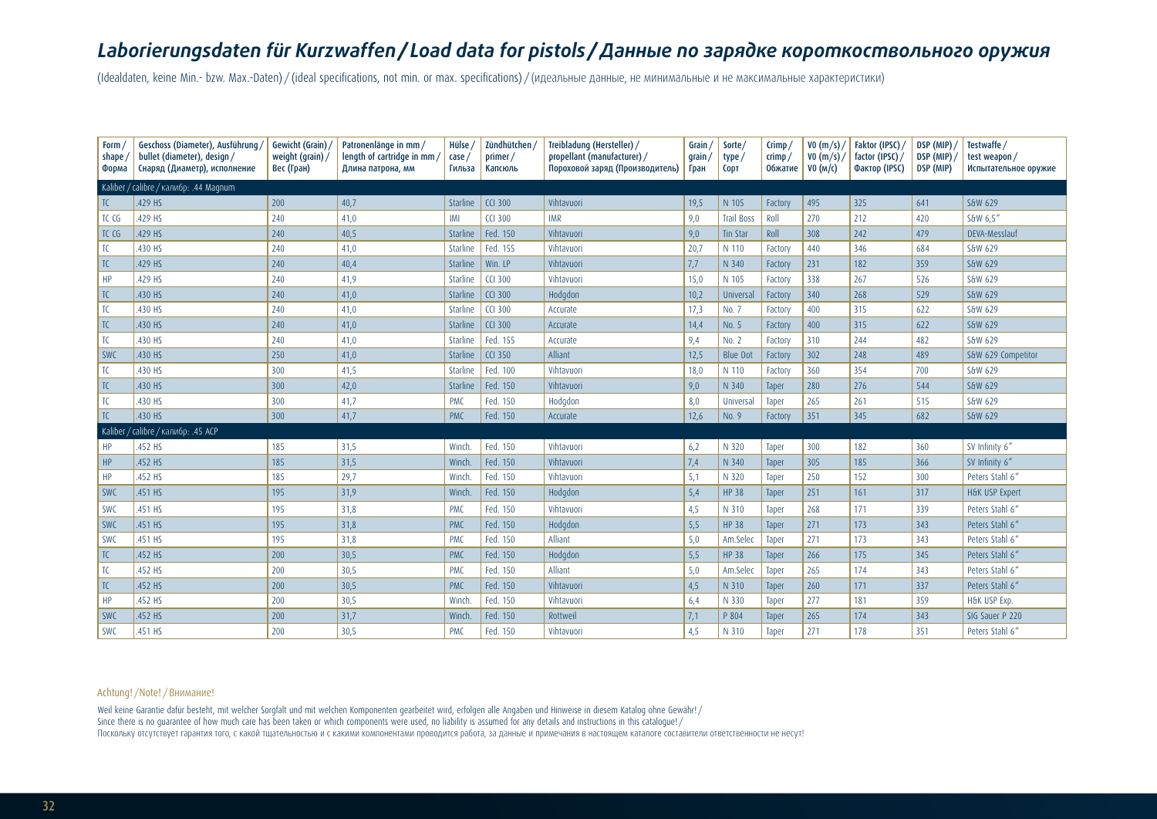# *Laborierungsdaten für Kurzwaffen/ Load data for pistols /Данные по зарядке короткоствольного оружия*

(Idealdaten, keine Min.- bzw. Max.-Daten) / (ideal specifications, not min. or max. specifications) / (идеальные данные, не минимальные и не максимальные характеристики)

| Form,<br>shape<br>Форма | Geschoss (Diameter), Ausführung/<br>bullet (diameter), design /<br>Снаряд (Диаметр), исполнение | Gewicht (Grain)<br>weight (grain) $/$<br>Вес (Гран) | Patronenlänge in mm /<br>length of cartridge in mm/<br>Длина патрона, мм | Hülse<br>case<br>Гильза | Zündhütchen<br>primer/<br>Капсюль | Treibladung (Hersteller) /<br>Grain<br>propellant (manufacturer) /<br>$q$ rain /<br>Пороховой заряд (Производитель)<br>Гран |      | Sorte<br>type/<br>CODT | Crimp $/$<br>crimp/<br><b>Обжатие</b> | VO(m/s)<br>VO(m/s)<br>VO (M/C) | Faktor (IPSC)<br>factor (IPSC)<br>Фактор (IPSC) | DSP (MIP)<br>DSP (MIP)<br>DSP (MIP) | Testwaffe /<br>test weapon/<br>Испытательное оружие |
|-------------------------|-------------------------------------------------------------------------------------------------|-----------------------------------------------------|--------------------------------------------------------------------------|-------------------------|-----------------------------------|-----------------------------------------------------------------------------------------------------------------------------|------|------------------------|---------------------------------------|--------------------------------|-------------------------------------------------|-------------------------------------|-----------------------------------------------------|
|                         | Kaliber / calibre / калибр: .44 Magnum                                                          |                                                     |                                                                          |                         |                                   |                                                                                                                             |      |                        |                                       |                                |                                                 |                                     |                                                     |
| TC                      | .429 HS                                                                                         | 200                                                 | 40,7                                                                     | <b>Starline</b>         | <b>CCI 300</b>                    | Vihtavuori                                                                                                                  | 19,5 | N 105                  | Factory                               | 495                            | 325                                             | 641                                 | S&W 629                                             |
| TC CG                   | .429 HS                                                                                         | 240                                                 | 41,0                                                                     | IMI                     | <b>CCI 300</b>                    | <b>IMR</b>                                                                                                                  | 9,0  | <b>Trail Boss</b>      | Roll                                  | 270                            | 212                                             | 420                                 | S&W 6.5"                                            |
| TC CG                   | .429 HS                                                                                         | 240                                                 | 40,5                                                                     | <b>Starline</b>         | Fed. 150                          | Vihtavuori                                                                                                                  | 9,0  | Tin Star               | Roll                                  | 308                            | 242                                             | 479                                 | DEVA-Messlauf                                       |
| TC                      | .430 HS                                                                                         | 240                                                 | 41,0                                                                     | Starline                | Fed. 155                          | Vihtavuori                                                                                                                  | 20,7 | N 110                  | Factory                               | 440                            | 346                                             | 684                                 | S&W 629                                             |
| TC                      | .429 HS                                                                                         | 240                                                 | 40,4                                                                     | <b>Starline</b>         | Win. LP                           | Vihtavuori                                                                                                                  | 7,7  | N 340                  | Factory                               | 231                            | 182                                             | 359                                 | S&W 629                                             |
| HP                      | .429 HS                                                                                         | 240                                                 | 41,9                                                                     | Starline                | <b>CCI 300</b>                    | Vihtavuori                                                                                                                  | 15,0 | N 105                  | Factory                               | 338                            | 267                                             | 526                                 | S&W 629                                             |
| TC                      | .430 HS                                                                                         | 240                                                 | 41,0                                                                     | <b>Starline</b>         | <b>CCI 300</b>                    | Hodgdon                                                                                                                     | 10,2 | Universal              | Factory                               | 340                            | 268                                             | 529                                 | S&W 629                                             |
| TC                      | .430 HS                                                                                         | 240                                                 | 41,0                                                                     | Starline                | <b>CCI 300</b>                    | Accurate                                                                                                                    | 17,3 | No. 7                  | Factory                               | 400                            | 315                                             | 622                                 | S&W 629                                             |
| TC                      | .430 HS                                                                                         | 240                                                 | 41,0                                                                     | Starline                | <b>CCI 300</b>                    | Accurate                                                                                                                    | 14,4 | No. 5                  | Factory                               | 400                            | 315                                             | 622                                 | S&W 629                                             |
| TC                      | .430 HS                                                                                         | 240                                                 | 41,0                                                                     | <b>Starline</b>         | Fed. 155                          | Accurate                                                                                                                    | 9,4  | No. 2                  | Factory                               | 310                            | 244                                             | 482                                 | S&W 629                                             |
| SWC                     | .430 HS                                                                                         | 250                                                 | 41,0                                                                     | Starline                | <b>CCI 350</b>                    | Alliant                                                                                                                     | 12,5 | <b>Blue Dot</b>        | Factory                               | 302                            | 248                                             | 489                                 | S&W 629 Competitor                                  |
| TC                      | .430 HS                                                                                         | 300                                                 | 41,5                                                                     | Starline                | Fed. 100                          | Vihtavuori                                                                                                                  | 18,0 | N 110                  | Factory                               | 360                            | 354                                             | 700                                 | S&W 629                                             |
| TC                      | .430 HS                                                                                         | 300                                                 | 42,0                                                                     | <b>Starline</b>         | Fed. 150                          | Vihtavuori                                                                                                                  | 9,0  | N 340                  | Taper                                 | 280                            | 276                                             | 544                                 | S&W 629                                             |
| TC                      | .430 HS                                                                                         | 300                                                 | 41,7                                                                     | <b>PMC</b>              | Fed. 150                          | Hodgdon                                                                                                                     | 8,0  | Universal              | Taper                                 | 265                            | 261                                             | 515                                 | S&W 629                                             |
| TC                      | .430 HS                                                                                         | 300                                                 | 41,7                                                                     | <b>PMC</b>              | Fed. 150                          | Accurate                                                                                                                    | 12,6 | No. 9                  | Factory                               | 351                            | 345                                             | 682                                 | S&W 629                                             |
|                         | Kaliber / calibre / калибр: .45 ACP                                                             |                                                     |                                                                          |                         |                                   |                                                                                                                             |      |                        |                                       |                                |                                                 |                                     |                                                     |
| HP                      | .452 HS                                                                                         | 185                                                 | 31,5                                                                     | Winch.                  | Fed. 150                          | Vihtavuori                                                                                                                  | 6,2  | N 320                  | Taper                                 | 300                            | 182                                             | 360                                 | SV Infinity 6"                                      |
| HP                      | .452 HS                                                                                         | 185                                                 | 31,5                                                                     | Winch.                  | Fed. 150                          | Vihtavuori                                                                                                                  | 7,4  | N 340                  | Taper                                 | 305                            | 185                                             | 366                                 | SV Infinity 6"                                      |
| HP                      | .452 HS                                                                                         | 185                                                 | 29,7                                                                     | Winch.                  | Fed. 150                          | Vihtavuori                                                                                                                  | 5,1  | N 320                  | Taper                                 | 250                            | 152                                             | 300                                 | Peters Stahl 6"                                     |
| SWC                     | .451 HS                                                                                         | 195                                                 | 31,9                                                                     | Winch.                  | Fed. 150                          | Hodgdon                                                                                                                     | 5,4  | <b>HP 38</b>           | Taper                                 | 251                            | 161                                             | 317                                 | H&K USP Expert                                      |
| <b>SWC</b>              | .451 HS                                                                                         | 195                                                 | 31,8                                                                     | <b>PMC</b>              | Fed. 150                          | Vihtavuori                                                                                                                  | 4,5  | N 310                  | Taper                                 | 268                            | 171                                             | 339                                 | Peters Stahl 6"                                     |
| SWC                     | .451 HS                                                                                         | 195                                                 | 31,8                                                                     | <b>PMC</b>              | Fed. 150                          | Hodgdon                                                                                                                     | 5,5  | <b>HP 38</b>           | Taper                                 | 271                            | 173                                             | 343                                 | Peters Stahl 6"                                     |
| SWC                     | .451 HS                                                                                         | 195                                                 | 31,8                                                                     | <b>PMC</b>              | Fed. 150                          | Alliant                                                                                                                     | 5,0  | Am.Selec               | Taper                                 | 271                            | 173                                             | 343                                 | Peters Stahl 6"                                     |
| TC                      | .452 HS                                                                                         | 200                                                 | 30,5                                                                     | <b>PMC</b>              | Fed. 150                          | Hodgdon                                                                                                                     | 5,5  | <b>HP 38</b>           | Taper                                 | 266                            | 175                                             | 345                                 | Peters Stahl 6"                                     |
| TC                      | .452 HS                                                                                         | 200                                                 | 30,5                                                                     | <b>PMC</b>              | Fed. 150                          | Alliant                                                                                                                     | 5,0  | Am.Selec               | Taper                                 | 265                            | 174                                             | 343                                 | Peters Stahl 6"                                     |
| TC                      | .452 HS                                                                                         | 200                                                 | 30,5                                                                     | <b>PMC</b>              | Fed. 150                          | Vihtavuori                                                                                                                  | 4,5  | N 310                  | Taper                                 | 260                            | 171                                             | 337                                 | Peters Stahl 6"                                     |
| HP                      | .452 HS                                                                                         | 200                                                 | 30,5                                                                     | Winch.                  | Fed. 150                          | Vihtavuori                                                                                                                  | 6,4  | N 330                  | Taper                                 | 277                            | 181                                             | 359                                 | H&K USP Exp.                                        |
| SWC                     | .452 HS                                                                                         | 200                                                 | 31,7                                                                     | Winch.                  | Fed. 150                          | Rottweil                                                                                                                    | 7,1  | P 804                  | Taper                                 | 265                            | 174                                             | 343                                 | SIG Sauer P 220                                     |
| <b>SWC</b>              | .451 HS                                                                                         | 200                                                 | 30.5                                                                     | <b>PMC</b>              | Fed. 150                          | Vihtavuori                                                                                                                  | 4.5  | N 310                  | Taper                                 | 271                            | 178                                             | 351                                 | Peters Stahl 6"                                     |

#### Achtung! /Note! /Внимание!

Weil keine Garantie dafür besteht, mit welcher Sorgfalt und mit welchen Komponenten gearbeitet wird, erfolgen alle Angaben und Hinweise in diesem Katalog ohne Gewähr! / Since there is no quarantee of how much care has been taken or which components were used, no liability is assumed for any details and instructions in this catalogue!/ Поскольку отсутствует гарантия того, с какой тщательностью и с какими компонентами проводится работа, за данные и примечания в настоящем каталоге составители ответственности не несут!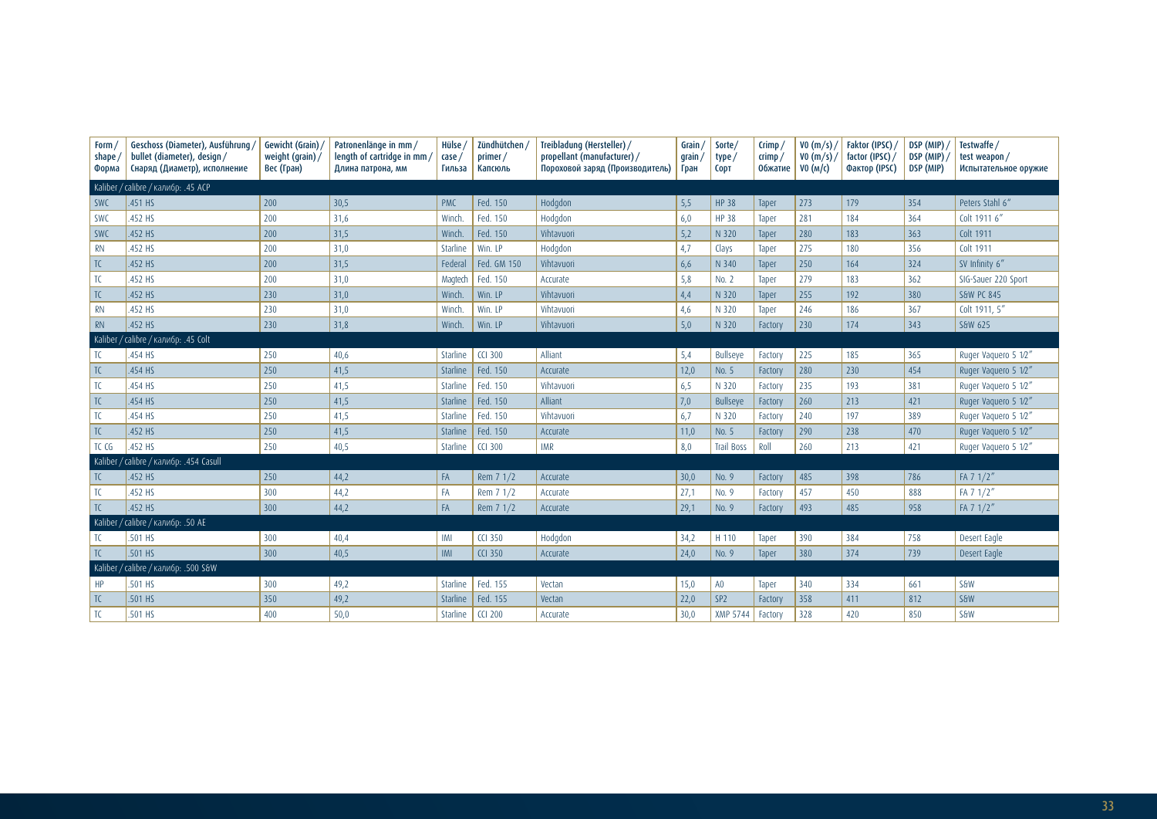| Form<br>shape<br>Форма | Geschoss (Diameter), Ausführung /<br>bullet (diameter), design /<br>Снаряд (Диаметр), исполнение | Gewicht (Grain)<br>weight (grain) $/$<br>Вес (Гран) | Patronenlänge in mm /<br>length of cartridge in mm,<br>Длина патрона, мм | Hülse<br>case/<br>Гильза | Zündhütchen<br>primer/<br>Капсюль | Treibladung (Hersteller) /<br>Grain /<br>propellant (manufacturer) /<br>grain<br>Пороховой заряд (Производитель)<br>Гран |      | Sorte/<br>type/<br><b>COPT</b> | $C$ rimp<br>crimp/<br><b>Обжатие</b> | V0(m/s)<br>V0(m/s) /<br>VO (M/c) | Faktor (IPSC)<br>factor (IPSC) /<br>Фактор (IPSC) | DSP (MIP)<br>DSP (MIP)<br>DSP (MIP) | Testwaffe /<br>test weapon/<br>Испытательное оружие |
|------------------------|--------------------------------------------------------------------------------------------------|-----------------------------------------------------|--------------------------------------------------------------------------|--------------------------|-----------------------------------|--------------------------------------------------------------------------------------------------------------------------|------|--------------------------------|--------------------------------------|----------------------------------|---------------------------------------------------|-------------------------------------|-----------------------------------------------------|
|                        | Kaliber / calibre / калибр: .45 ACP                                                              |                                                     |                                                                          |                          |                                   |                                                                                                                          |      |                                |                                      |                                  |                                                   |                                     |                                                     |
| SWC                    | .451 HS                                                                                          | 200                                                 | 30,5                                                                     | <b>PMC</b>               | Fed. 150                          | Hodgdon                                                                                                                  | 5,5  | <b>HP 38</b>                   | Taper                                | 273                              | 179                                               | 354                                 | Peters Stahl 6"                                     |
| SWC                    | .452 HS                                                                                          | 200                                                 | 31,6                                                                     | Winch                    | Fed. 150                          | Hodgdon                                                                                                                  | 6,0  | <b>HP 38</b>                   | Taper                                | 281                              | 184                                               | 364                                 | Colt 1911 6"                                        |
| SWC                    | .452 HS                                                                                          | 200                                                 | 31,5                                                                     | Winch.                   | Fed. 150                          | Vihtavuori                                                                                                               | 5,2  | N 320                          | Taper                                | 280                              | 183                                               | 363                                 | Colt 1911                                           |
| <b>RN</b>              | .452 HS                                                                                          | 200                                                 | 31,0                                                                     | Starline                 | Win. LP                           | Hodgdon                                                                                                                  | 4,7  | Clays                          | Taper                                | 275                              | 180                                               | 356                                 | Colt 1911                                           |
| TC                     | .452 HS                                                                                          | 200                                                 | 31,5                                                                     | Federal                  | Fed. GM 150                       | Vihtavuori                                                                                                               | 6,6  | N 340                          | Taper                                | 250                              | 164                                               | 324                                 | SV Infinity 6"                                      |
| TC                     | 452 HS                                                                                           | 200                                                 | 31,0                                                                     | Magtech                  | Fed. 150                          | Accurate                                                                                                                 | 5,8  | No. 2                          | Taper                                | 279                              | 183                                               | 362                                 | SIG-Sauer 220 Sport                                 |
| TC                     | .452 HS                                                                                          | 230                                                 | 31,0                                                                     | Winch.                   | Win, LP                           | Vihtavuori                                                                                                               | 4,4  | N 320                          | Taper                                | 255                              | 192                                               | 380                                 | <b>S&amp;W PC 845</b>                               |
| <b>RN</b>              | .452 HS                                                                                          | 230                                                 | 31,0                                                                     | Winch.                   | Win. LP                           | Vihtavuori                                                                                                               | 4,6  | N 320                          | Taper                                | 246                              | 186                                               | 367                                 | Colt 1911, 5"                                       |
| RN                     | .452 HS                                                                                          | 230                                                 | 31,8                                                                     | Winch.                   | Win. LP                           | Vihtavuori                                                                                                               | 5,0  | N 320                          | Factory                              | 230                              | 174                                               | 343                                 | S&W 625                                             |
| Kaliber                | / calibre / калибр: .45 Colt                                                                     |                                                     |                                                                          |                          |                                   |                                                                                                                          |      |                                |                                      |                                  |                                                   |                                     |                                                     |
| TC                     | 454 HS                                                                                           | 250                                                 | 40,6                                                                     | Starline                 | <b>CCI 300</b>                    | Alliant                                                                                                                  | 5,4  | <b>Bullseye</b>                | Factory                              | 225                              | 185                                               | 365                                 | Ruger Vaguero 5 1/2"                                |
| TC                     | .454 HS                                                                                          | 250                                                 | 41,5                                                                     | Starline                 | Fed. 150                          | Accurate                                                                                                                 | 12,0 | No. 5                          | Factory                              | 280                              | 230                                               | 454                                 | Ruger Vaguero 5 1/2"                                |
| TC                     | 454 HS                                                                                           | 250                                                 | 41,5                                                                     | Starline                 | Fed. 150                          | Vihtavuori                                                                                                               | 6,5  | N 320                          | Factory                              | 235                              | 193                                               | 381                                 | Ruger Vaguero 5 1/2"                                |
| TC                     | .454 HS                                                                                          | 250                                                 | 41,5                                                                     | Starline                 | Fed. 150                          | Alliant                                                                                                                  | 7,0  | <b>Bullseye</b>                | Factory                              | 260                              | 213                                               | 421                                 | Ruger Vaguero 5 1/2"                                |
| TC                     | 454 HS                                                                                           | 250                                                 | 41,5                                                                     | Starline                 | Fed. 150                          | Vihtavuori                                                                                                               | 6,7  | N 320                          | Factory                              | 240                              | 197                                               | 389                                 | Ruger Vaguero 5 1/2"                                |
| TC                     | .452 HS                                                                                          | 250                                                 | 41,5                                                                     | Starline                 | Fed. 150                          | Accurate                                                                                                                 | 11,0 | No. 5                          | Factory                              | 290                              | 238                                               | 470                                 | Ruger Vaguero 5 1/2"                                |
| TC CG                  | .452 HS                                                                                          | 250                                                 | 40,5                                                                     | Starline                 | $CCI$ 300                         | <b>IMR</b>                                                                                                               | 8,0  | <b>Trail Boss</b>              | Roll                                 | 260                              | 213                                               | 421                                 | Ruger Vaguero 5 1/2"                                |
|                        | Kaliber / calibre / калибр: .454 Casull                                                          |                                                     |                                                                          |                          |                                   |                                                                                                                          |      |                                |                                      |                                  |                                                   |                                     |                                                     |
| TC                     | 452 HS                                                                                           | 250                                                 | 44,2                                                                     | FA                       | Rem 7 1/2                         | Accurate                                                                                                                 | 30,0 | No. 9                          | Factory                              | 485                              | 398                                               | 786                                 | FA 7 1/2"                                           |
| TC                     | .452 HS                                                                                          | 300                                                 | 44,2                                                                     | FA                       | Rem 7 1/2                         | Accurate                                                                                                                 | 27,1 | No. 9                          | Factory                              | 457                              | 450                                               | 888                                 | FA 7 1/2"                                           |
| TC                     | .452 HS                                                                                          | 300                                                 | 44,2                                                                     | FA                       | Rem $71/2$                        | Accurate                                                                                                                 | 29,1 | No. 9                          | Factory                              | 493                              | 485                                               | 958                                 | FA 7 1/2"                                           |
| Kaliber /              | / calibre / калибр: .50 AE                                                                       |                                                     |                                                                          |                          |                                   |                                                                                                                          |      |                                |                                      |                                  |                                                   |                                     |                                                     |
| TC                     | .501 HS                                                                                          | 300                                                 | 40,4                                                                     | IMI                      | <b>CCI 350</b>                    | Hodgdon                                                                                                                  | 34,2 | H 110                          | Taper                                | 390                              | 384                                               | 758                                 | Desert Eagle                                        |
| TC                     | .501 HS                                                                                          | 300                                                 | 40,5                                                                     | IMI                      | <b>CCI 350</b>                    | Accurate                                                                                                                 | 24,0 | No. 9                          | Taper                                | 380                              | 374                                               | 739                                 | Desert Eagle                                        |
| Kaliber                | calibre / калибр: .500 S&W                                                                       |                                                     |                                                                          |                          |                                   |                                                                                                                          |      |                                |                                      |                                  |                                                   |                                     |                                                     |
| HP                     | 501 HS                                                                                           | 300                                                 | 49,2                                                                     | Starline                 | Fed. 155                          | Vectan                                                                                                                   | 15,0 | A0                             | Taper                                | 340                              | 334                                               | 661                                 | <b>S&amp;W</b>                                      |
| TC                     | .501 HS                                                                                          | 350                                                 | 49,2                                                                     | Starline                 | Fed. 155                          | Vectan                                                                                                                   | 22,0 | SP <sub>2</sub>                | Factory                              | 358                              | 411                                               | 812                                 | <b>S&amp;W</b>                                      |
| T <sub>C</sub>         | .501 HS                                                                                          | 400                                                 | 50,0                                                                     | Starline                 | $CCI$ 200                         | Accurate                                                                                                                 | 30,0 | <b>XMP 5744</b>                | Factory                              | 328                              | 420                                               | 850                                 | <b>S&amp;W</b>                                      |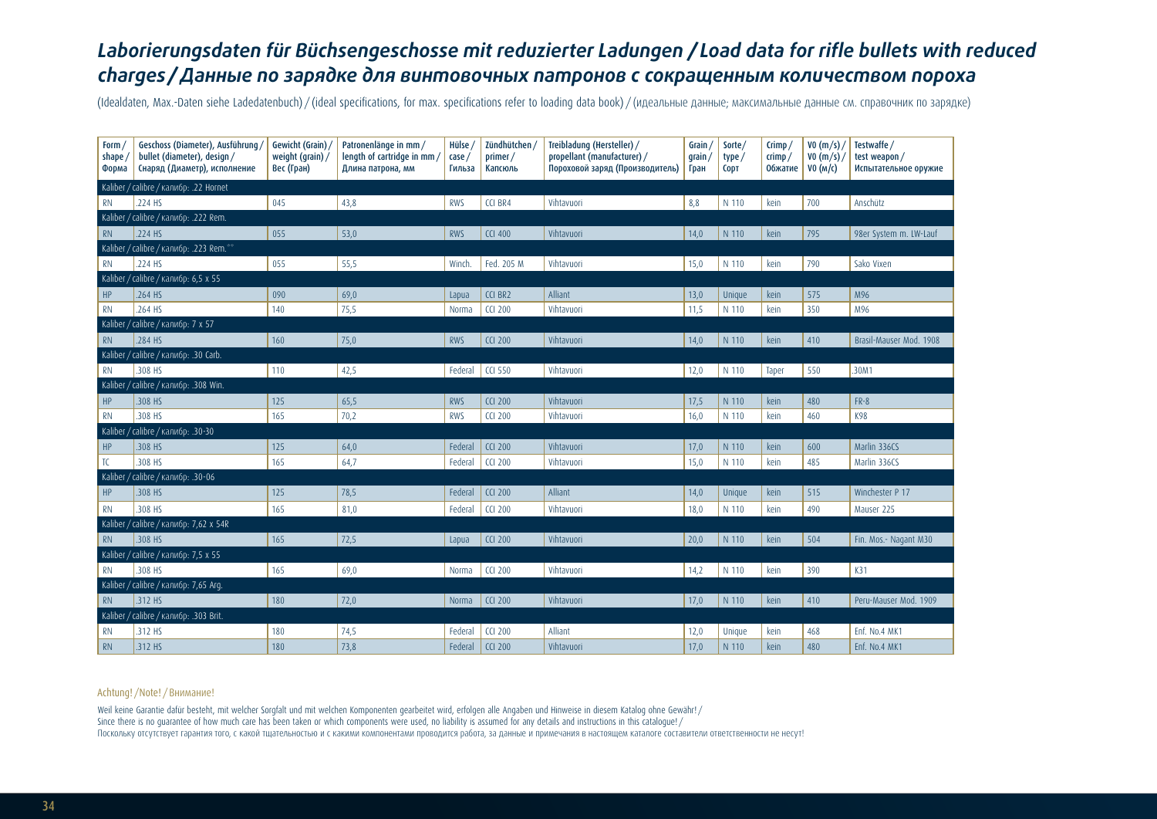# *Laborierungsdaten für Büchsengeschosse mit reduzierter Ladungen / Load data for rifle bullets with reduced charges /Данные по зарядке для винтовочных патронов с сокращенным количеством пороха*

(Idealdaten, Max.-Daten siehe Ladedatenbuch) / (ideal specifications, for max. specifications refer to loading data book) / (идеальные данные; максимальные данные см. справочник по зарядке)

| Form/<br>shape/<br>Форма | Geschoss (Diameter), Ausführung,<br>bullet (diameter), design /<br>Снаряд (Диаметр), исполнение | Gewicht (Grain)<br>weight (grain) /<br>Вес (Гран) | Patronenlänge in mm /<br>length of cartridge in mm/<br>Длина патрона, мм | Hülse,<br>case/<br>Гильза | Zündhütchen /<br>primer/<br>Капсюль | Treibladung (Hersteller) /<br>propellant (manufacturer) /<br>Пороховой заряд (Производитель) | Grain $/$<br>$q$ rain /<br>Гран | Sorte/<br>type/<br><b>CODT</b> | Crimp/<br>crimp/<br><b>Обжатие</b> | VO(m/s)<br>VO(m/s)<br>VO (M/c) | Testwaffe /<br>test weapon/<br>Испытательное оружие |
|--------------------------|-------------------------------------------------------------------------------------------------|---------------------------------------------------|--------------------------------------------------------------------------|---------------------------|-------------------------------------|----------------------------------------------------------------------------------------------|---------------------------------|--------------------------------|------------------------------------|--------------------------------|-----------------------------------------------------|
|                          | Kaliber / calibre / калибр: .22 Hornet                                                          |                                                   |                                                                          |                           |                                     |                                                                                              |                                 |                                |                                    |                                |                                                     |
| <b>RN</b>                | .224 HS                                                                                         | 045                                               | 43,8                                                                     | <b>RWS</b>                | CCI BR4                             | Vihtavuori                                                                                   | 8,8                             | N 110                          | kein                               | 700                            | Anschütz                                            |
|                          | Kaliber / calibre / калибр: .222 Rem.                                                           |                                                   |                                                                          |                           |                                     |                                                                                              |                                 |                                |                                    |                                |                                                     |
| <b>RN</b>                | .224 HS                                                                                         | 055                                               | 53,0                                                                     | <b>RWS</b>                | <b>CCI 400</b>                      | Vihtavuori                                                                                   | 14,0                            | N 110                          | kein                               | 795                            | 98er System m. LW-Lauf                              |
|                          | Kaliber / calibre / калибр: .223 Rem.**                                                         |                                                   |                                                                          |                           |                                     |                                                                                              |                                 |                                |                                    |                                |                                                     |
| <b>RN</b>                | .224 HS                                                                                         | 055                                               | 55,5                                                                     | Winch.                    | Fed. 205 M                          | Vihtavuori                                                                                   | 15,0                            | N 110                          | kein                               | 790                            | Sako Vixen                                          |
| Kaliber                  | calibre / калибр: 6,5 х 55                                                                      |                                                   |                                                                          |                           |                                     |                                                                                              |                                 |                                |                                    |                                |                                                     |
| HP                       | .264 HS                                                                                         | 090                                               | 69,0                                                                     | Lapua                     | CCI BR2                             | Alliant                                                                                      | 13,0                            | Unique                         | kein                               | 575                            | M96                                                 |
| <b>RN</b>                | 264 HS                                                                                          | 140                                               | 75,5                                                                     | Norma                     | <b>CCI 200</b>                      | Vihtavuori                                                                                   | 11,5                            | N 110                          | kein                               | 350                            | M96                                                 |
|                          | Kaliber / calibre / калибр: 7 х 57                                                              |                                                   |                                                                          |                           |                                     |                                                                                              |                                 |                                |                                    |                                |                                                     |
| <b>RN</b>                | .284 HS                                                                                         | 160                                               | 75,0                                                                     | <b>RWS</b>                | <b>CCI 200</b>                      | Vihtavuori                                                                                   | 14,0                            | N 110                          | kein                               | 410                            | Brasil-Mauser Mod. 1908                             |
|                          | Kaliber / calibre / калибр: .30 Carb.                                                           |                                                   |                                                                          |                           |                                     |                                                                                              |                                 |                                |                                    |                                |                                                     |
| <b>RN</b>                | .308 HS                                                                                         | 110                                               | 42,5                                                                     | Federal                   | <b>CCI 550</b>                      | Vihtavuori                                                                                   | 12,0                            | N 110                          | Taper                              | 550                            | .30M1                                               |
|                          | Kaliber / calibre / калибр: .308 Win.                                                           |                                                   |                                                                          |                           |                                     |                                                                                              |                                 |                                |                                    |                                |                                                     |
| HP                       | .308 HS                                                                                         | 125                                               | 65,5                                                                     | <b>RWS</b>                | <b>CCI 200</b>                      | Vihtavuori                                                                                   | 17,5                            | N 110                          | kein                               | 480                            | $FR-8$                                              |
| <b>RN</b>                | .308 HS                                                                                         | 165                                               | 70,2                                                                     | <b>RWS</b>                | <b>CCI 200</b>                      | Vihtavuori                                                                                   | 16,0                            | N 110                          | kein                               | 460                            | K98                                                 |
| Kaliber                  | calibre / калибр: .30-30                                                                        |                                                   |                                                                          |                           |                                     |                                                                                              |                                 |                                |                                    |                                |                                                     |
| HP                       | .308 HS                                                                                         | 125                                               | 64,0                                                                     | Federal                   | <b>CCI 200</b>                      | Vihtavuori                                                                                   | 17,0                            | N 110                          | kein                               | 600                            | Marlin 336CS                                        |
| TC                       | .308 HS                                                                                         | 165                                               | 64,7                                                                     | Federal                   | <b>CCI 200</b>                      | Vihtavuori                                                                                   | 15,0                            | N 110                          | kein                               | 485                            | Marlin 336CS                                        |
|                          | Kaliber / calibre / калибр: .30-06                                                              |                                                   |                                                                          |                           |                                     |                                                                                              |                                 |                                |                                    |                                |                                                     |
| HP                       | .308 HS                                                                                         | 125                                               | 78,5                                                                     | Federal                   | <b>CCI 200</b>                      | Alliant                                                                                      | 14,0                            | Unique                         | kein                               | 515                            | Winchester P 17                                     |
| <b>RN</b>                | .308 HS                                                                                         | 165                                               | 81,0                                                                     | Federal                   | <b>CCI 200</b>                      | Vihtavuori                                                                                   | 18,0                            | N 110                          | kein                               | 490                            | Mauser 225                                          |
| Kaliber                  | /calibre / калибр: 7,62 x 54R                                                                   |                                                   |                                                                          |                           |                                     |                                                                                              |                                 |                                |                                    |                                |                                                     |
| <b>RN</b>                | .308 HS                                                                                         | 165                                               | 72,5                                                                     | Lapua                     | <b>CCI 200</b>                      | Vihtavuori                                                                                   | 20,0                            | N 110                          | kein                               | 504                            | Fin. Mos.- Nagant M30                               |
|                          | Kaliber / calibre / калибр: 7,5 х 55                                                            |                                                   |                                                                          |                           |                                     |                                                                                              |                                 |                                |                                    |                                |                                                     |
| <b>RN</b>                | .308 HS                                                                                         | 165                                               | 69,0                                                                     | Norma                     | <b>CCI 200</b>                      | Vihtavuori                                                                                   | 14,2                            | N 110                          | kein                               | 390                            | K31                                                 |
|                          | Kaliber / calibre / калибр: 7,65 Arg.                                                           |                                                   |                                                                          |                           |                                     |                                                                                              |                                 |                                |                                    |                                |                                                     |
| <b>RN</b>                | 312 HS                                                                                          | 180                                               | 72,0                                                                     | Norma                     | <b>CCI 200</b>                      | Vihtavuori                                                                                   | 17,0                            | N 110                          | kein                               | 410                            | Peru-Mauser Mod. 1909                               |
|                          | Kaliber / calibre / калибр: .303 Brit.                                                          |                                                   |                                                                          |                           |                                     |                                                                                              |                                 |                                |                                    |                                |                                                     |
| <b>RN</b>                | .312 HS                                                                                         | 180                                               | 74,5                                                                     | Federal                   | <b>CCI 200</b>                      | Alliant                                                                                      | 12,0                            | Unique                         | kein                               | 468                            | Enf. No.4 MK1                                       |
| <b>RN</b>                | .312 HS                                                                                         | 180                                               | 73,8                                                                     | Federal                   | <b>CCI 200</b>                      | Vihtavuori                                                                                   | 17,0                            | N 110                          | kein                               | 480                            | Enf. No.4 MK1                                       |

#### Achtung! /Note! /Внимание!

Weil keine Garantie dafür besteht, mit welcher Sorgfalt und mit welchen Komponenten gearbeitet wird, erfolgen alle Angaben und Hinweise in diesem Katalog ohne Gewähr! / Since there is no quarantee of how much care has been taken or which components were used, no liability is assumed for any details and instructions in this catalogue!/ Поскольку отсутствует гарантия того, с какой тщательностью и с какими компонентами проводится работа, за данные и примечания в настоящем каталоге составители ответственности не несут!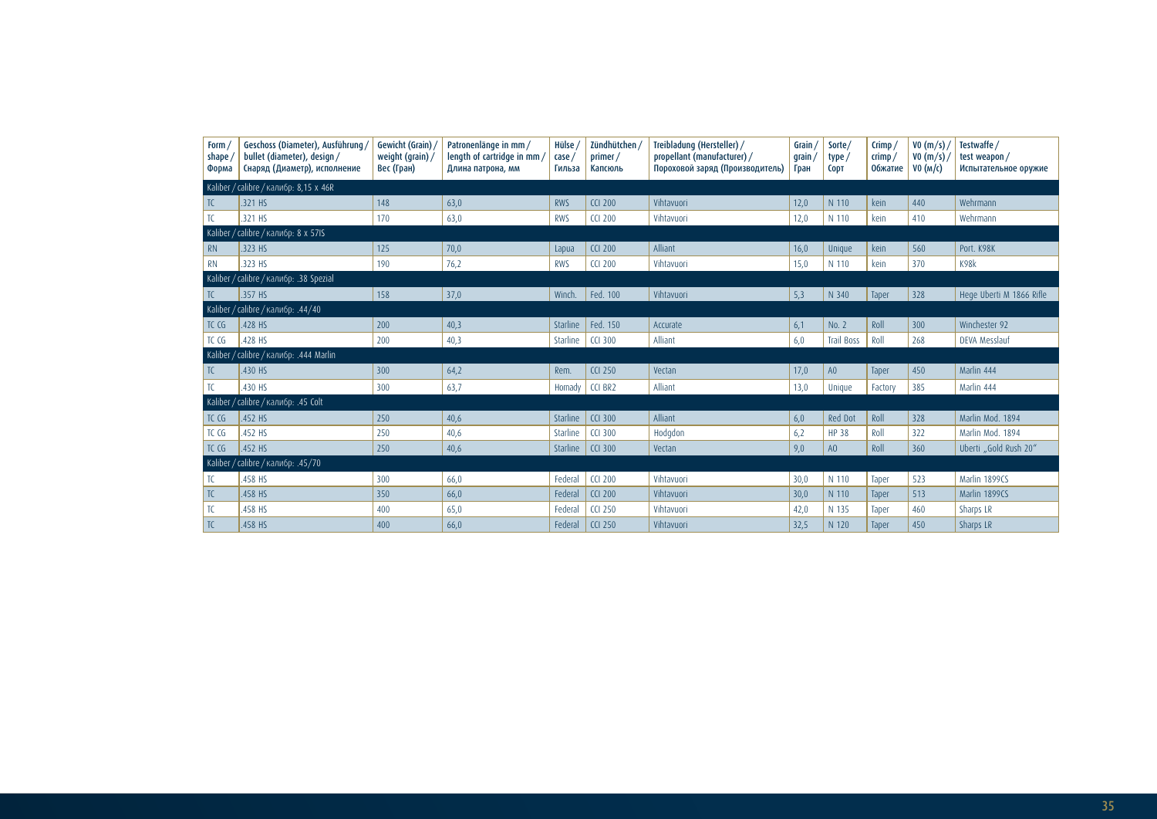| Form /<br>shape<br>Форма | Geschoss (Diameter), Ausführung /<br>bullet (diameter), design /<br>Снаряд (Диаметр), исполнение | Gewicht (Grain)<br>weight (grain)/<br>Вес (Гран) | Patronenlänge in mm /<br>length of cartridge in mm<br>Длина патрона, мм | Hülse<br>case,<br>Гильза | Zündhütchen /<br>primer/<br>Капсюль | Treibladung (Hersteller) /<br>propellant (manufacturer) /<br>Пороховой заряд (Производитель) | Grain<br>grain<br>Гран | Sorte/<br>type/<br><b>CODT</b> | $C$ rimp /<br>crimp/<br><b>Обжатие</b> | VO(m/s)<br>V0(m/s)<br>VO (M/C) | Testwaffe /<br>test weapon/<br>Испытательное оружие |
|--------------------------|--------------------------------------------------------------------------------------------------|--------------------------------------------------|-------------------------------------------------------------------------|--------------------------|-------------------------------------|----------------------------------------------------------------------------------------------|------------------------|--------------------------------|----------------------------------------|--------------------------------|-----------------------------------------------------|
|                          | Kaliber / calibre / калибр: 8,15 х 46R                                                           |                                                  |                                                                         |                          |                                     |                                                                                              |                        |                                |                                        |                                |                                                     |
| TC                       | .321 HS                                                                                          | 148                                              | 63,0                                                                    | <b>RWS</b>               | <b>CCI 200</b>                      | Vihtavuori                                                                                   | 12,0                   | N 110                          | kein                                   | 440                            | Wehrmann                                            |
| TC                       | .321 HS                                                                                          | 170                                              | 63,0                                                                    | <b>RWS</b>               | <b>CCI 200</b>                      | Vihtavuori                                                                                   | 12,0                   | N 110                          | kein                                   | 410                            | Wehrmann                                            |
|                          | Kaliber / calibre / калибр: 8 х 57IS                                                             |                                                  |                                                                         |                          |                                     |                                                                                              |                        |                                |                                        |                                |                                                     |
| <b>RN</b>                | .323 HS                                                                                          | 125                                              | 70,0                                                                    | Lapua                    | <b>CCI 200</b>                      | Alliant                                                                                      | 16,0                   | Unique                         | kein                                   | 560                            | Port. K98K                                          |
| <b>RN</b>                | .323 HS                                                                                          | 190                                              | 76,2                                                                    | <b>RWS</b>               | <b>CCI 200</b>                      | Vihtavuori                                                                                   | 15,0                   | N 110                          | kein                                   | 370                            | K98k                                                |
|                          | Kaliber / calibre / калибр: .38 Spezial                                                          |                                                  |                                                                         |                          |                                     |                                                                                              |                        |                                |                                        |                                |                                                     |
| TC.                      | .357 HS                                                                                          | 158                                              | 37,0                                                                    | Winch.                   | Fed. 100                            | Vihtavuori                                                                                   | 5,3                    | N 340                          | Taper                                  | 328                            | Hege Uberti M 1866 Rifle                            |
|                          | Kaliber / calibre / калибр: .44/40                                                               |                                                  |                                                                         |                          |                                     |                                                                                              |                        |                                |                                        |                                |                                                     |
| TC CG                    | .428 HS                                                                                          | 200                                              | 40,3                                                                    | Starline                 | Fed. 150                            | Accurate                                                                                     | 6,1                    | No. 2                          | Roll                                   | 300                            | Winchester 92                                       |
| TC CG                    | .428 HS                                                                                          | 200                                              | 40,3                                                                    | Starline                 | <b>CCI 300</b>                      | Alliant                                                                                      | 6,0                    | <b>Trail Boss</b>              | Roll                                   | 268                            | DEVA Messlauf                                       |
|                          | Kaliber / calibre / калибр: .444 Marlin                                                          |                                                  |                                                                         |                          |                                     |                                                                                              |                        |                                |                                        |                                |                                                     |
| TC.                      | .430 HS                                                                                          | 300                                              | 64,2                                                                    | Rem.                     | <b>CCI 250</b>                      | Vectan                                                                                       | 17,0                   | A0                             | Taper                                  | 450                            | Marlin 444                                          |
| TC                       | .430 HS                                                                                          | 300                                              | 63,7                                                                    | Hornady                  | CCI BR2                             | Alliant                                                                                      | 13,0                   | Unique                         | Factory                                | 385                            | Marlin 444                                          |
|                          | Kaliber / calibre / калибр: .45 Colt                                                             |                                                  |                                                                         |                          |                                     |                                                                                              |                        |                                |                                        |                                |                                                     |
| TC CG                    | .452 HS                                                                                          | 250                                              | 40,6                                                                    | Starline                 | <b>CCI 300</b>                      | Alliant                                                                                      | 6,0                    | <b>Red Dot</b>                 | Roll                                   | 328                            | Marlin Mod. 1894                                    |
| TC CG                    | .452 HS                                                                                          | 250                                              | 40,6                                                                    | Starline                 | <b>CCI 300</b>                      | Hodgdon                                                                                      | 6,2                    | <b>HP 38</b>                   | Roll                                   | 322                            | Marlin Mod. 1894                                    |
| TC CG                    | .452 HS                                                                                          | 250                                              | 40,6                                                                    | Starline                 | <b>CCI 300</b>                      | Vectan                                                                                       | 9,0                    | A <sub>O</sub>                 | Roll                                   | 360                            | Uberti "Gold Rush 20"                               |
|                          | Kaliber / calibre / калибр: .45/70                                                               |                                                  |                                                                         |                          |                                     |                                                                                              |                        |                                |                                        |                                |                                                     |
| TC.                      | .458 HS                                                                                          | 300                                              | 66,0                                                                    | Federal                  | <b>CCI 200</b>                      | Vihtavuori                                                                                   | 30,0                   | N 110                          | Taper                                  | 523                            | Marlin 1899CS                                       |
| TC                       | .458 HS                                                                                          | 350                                              | 66,0                                                                    | Federal                  | <b>CCI 200</b>                      | Vihtavuori                                                                                   | 30,0                   | N 110                          | Taper                                  | 513                            | Marlin 1899CS                                       |
| TC                       | .458 HS                                                                                          | 400                                              | 65,0                                                                    | Federal                  | <b>CCI 250</b>                      | Vihtavuori                                                                                   | 42,0                   | N 135                          | Taper                                  | 460                            | Sharps LR                                           |
| TC                       | .458 HS                                                                                          | 400                                              | 66,0                                                                    | Federal                  | <b>CCI 250</b>                      | Vihtavuori                                                                                   | 32,5                   | N 120                          | Taper                                  | 450                            | Sharps LR                                           |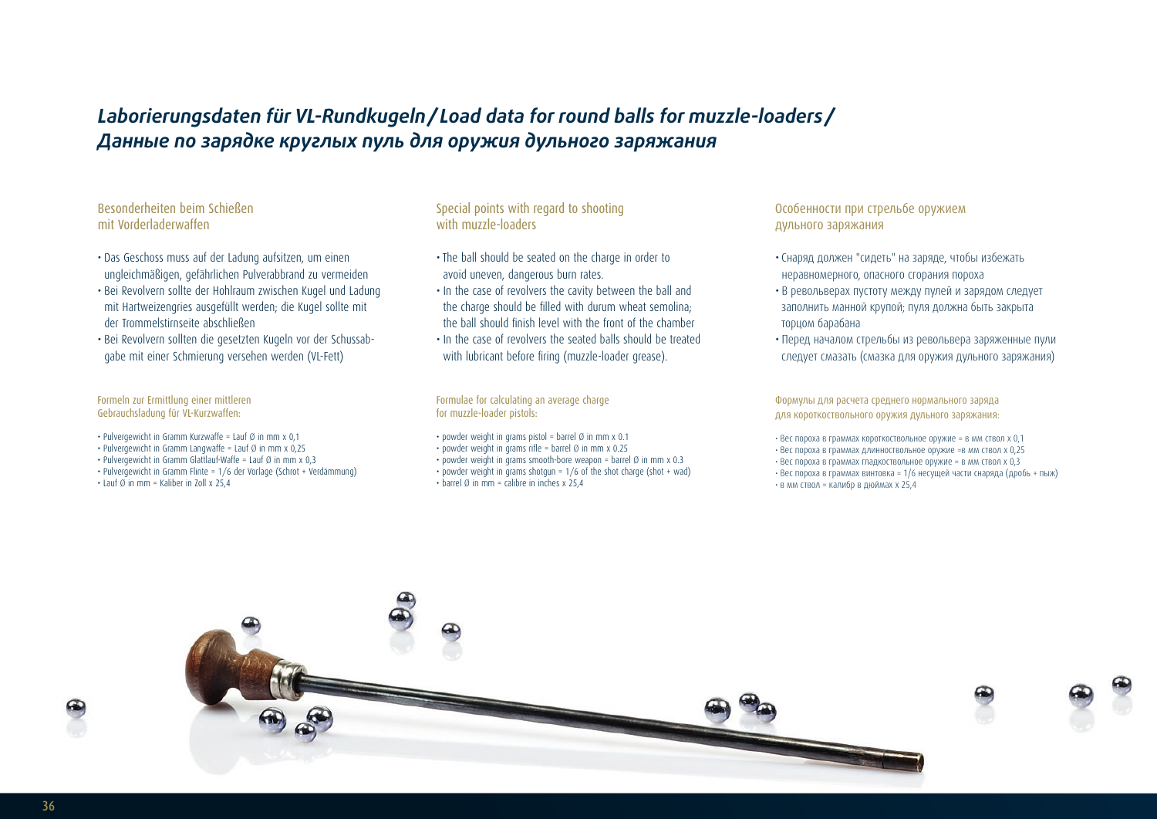# *Laborierungsdaten für VL-Rundkugeln/ Load data for round balls for muzzle-loaders / Данные по зарядке круглых пуль для оружия дульного заряжания*

## Besonderheiten beim Schießen mit Vorderladerwaffen

- Das Geschoss muss auf der Ladung aufsitzen, um einen ungleichmäßigen, gefährlichen Pulverabbrand zu vermeiden
- Bei Revolvern sollte der Hohlraum zwischen Kugel und Ladung mit Hartweizengries ausgefüllt werden; die Kugel sollte mit der Trommelstirnseite abschließen
- Bei Revolvern sollten die gesetzten Kugeln vor der Schussabgabe mit einer Schmierung versehen werden (VL-Fett)

Formeln zur Ermittlung einer mittleren Gebrauchsladung für VL-Kurzwaffen:

- Pulvergewicht in Gramm Kurzwaffe = Lauf  $\emptyset$  in mm x 0,1
- Pulvergewicht in Gramm Langwaffe = Lauf Ø in mm x 0.25
- Pulvergewicht in Gramm Glattlauf-Waffe = Lauf Ø in mm x 0,3
- Pulvergewicht in Gramm Flinte = 1/6 der Vorlage (Schrot + Verdämmung)
- Lauf Ø in mm = Kaliber in 7oll x 25.4

### Special points with regard to shooting with muzzle-loaders

- The ball should be seated on the charge in order to avoid uneven, dangerous burn rates.
- In the case of revolvers the cavity between the ball and the charge should be filled with durum wheat semolina; the ball should finish level with the front of the chamber
- In the case of revolvers the seated balls should be treated with lubricant before firing (muzzle-loader grease).

Formulae for calculating an average charge for muzzle-loader pistols:

- powder weight in grams pistol = barrel  $\emptyset$  in mm x 0.1
- powder weight in grams rifle = barrel  $\emptyset$  in mm x 0.25
- powder weight in grams smooth-bore weapon = barrel Ø in mm x 0.3 • powder weight in grams shotgun =  $1/6$  of the shot charge (shot + wad)
- $\cdot$  barrel Ø in mm = calibre in inches x 25.4

## Особенности при стрельбе оружием дульного заряжания

- Снаряд должен "сидеть" на заряде, чтобы избежать неравномерного, опасного сгорания пороха
- В револьверах пустоту между пулей и зарядом следует заполнить манной крупой; пуля должна быть закрыта торцом барабана
- Перед началом стрельбы из револьвера заряженные пули следует смазать (смазка для оружия дульного заряжания)

Формулы для расчета среднего нормального заряда для короткоствольного оружия дульного заряжания:

• Вес пороха в граммах короткоствольное оружие = в мм ствол x 0,1 • Вес пороха в граммах длинноствольное оружие =в мм ствол x 0,25 • Вес пороха в граммах гладкоствольное оружие = в мм ствол x 0,3 • Вес пороха в граммах винтовка = 1/6 несущей части снаряда (дробь + пыж) • в мм ствол = калибр в дюймах x 25,4